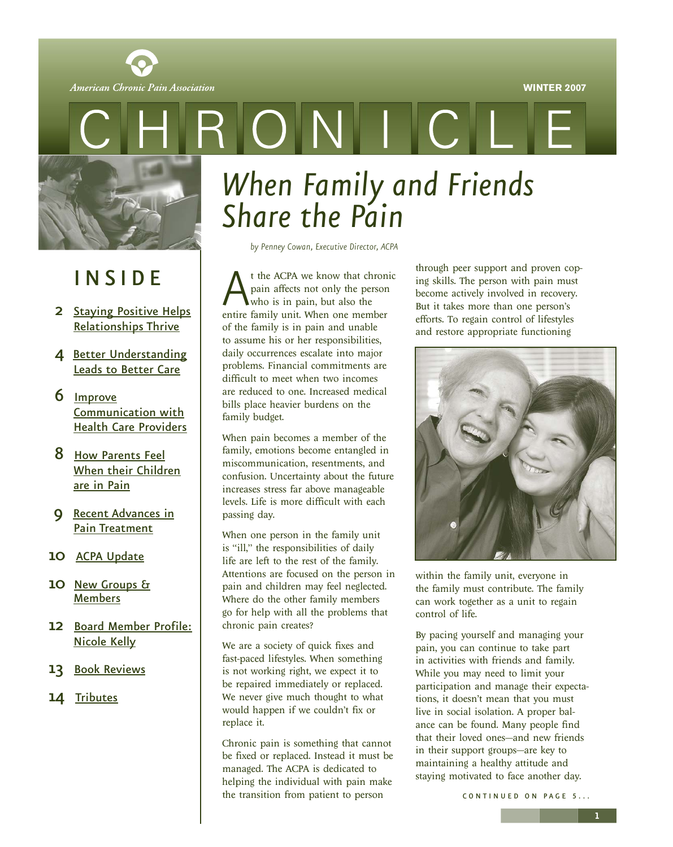

<span id="page-0-0"></span>American Chronic Pain Association



### I N S I D E

- 2 [Staying Positive Helps](#page-1-0) Relationships Thrive
- 4 [Better Understanding](#page-3-0) Leads to Better Care
- 6 Improve Communication with [Health Care Providers](#page-5-0)
- 8 How Parents Feel [When their Children](#page-7-0) are in Pain
- 9 [Recent Advances in](#page-8-0) Pain Treatment
- 10 [ACPA Update](#page-9-0)
- 10 [New Groups &](#page-9-0) Members
- 12 [Board Member Profile:](#page-11-0) Nicole Kelly
- 13 [Book Reviews](#page-12-0)
- 14 [Tributes](#page-13-0)

# *When Family and Friends Share the Pain*

 $\blacksquare$ 

*by Penney Cowan, Executive Director, ACPA*

t the ACPA we know that chronic<br>pain affects not only the person<br>who is in pain, but also the<br>entire family unit. When one member pain affects not only the person who is in pain, but also the entire family unit. When one member of the family is in pain and unable to assume his or her responsibilities, daily occurrences escalate into major problems. Financial commitments are difficult to meet when two incomes are reduced to one. Increased medical bills place heavier burdens on the family budget.

When pain becomes a member of the family, emotions become entangled in miscommunication, resentments, and confusion. Uncertainty about the future increases stress far above manageable levels. Life is more difficult with each passing day.

When one person in the family unit is "ill," the responsibilities of daily life are left to the rest of the family. Attentions are focused on the person in pain and children may feel neglected. Where do the other family members go for help with all the problems that chronic pain creates?

We are a society of quick fixes and fast-paced lifestyles. When something is not working right, we expect it to be repaired immediately or replaced. We never give much thought to what would happen if we couldn't fix or replace it.

Chronic pain is something that cannot be fixed or replaced. Instead it must be managed. The ACPA is dedicated to helping the individual with pain make the transition from patient to person

through peer support and proven coping skills. The person with pain must become actively involved in recovery. But it takes more than one person's efforts. To regain control of lifestyles and restore appropriate functioning



within the family unit, everyone in the family must contribute. The family can work together as a unit to regain control of life.

By pacing yourself and managing your pain, you can continue to take part in activities with friends and family. While you may need to limit your participation and manage their expectations, it doesn't mean that you must live in social isolation. A proper balance can be found. Many people find that their loved ones—and new friends in their support groups—are key to maintaining a healthy attitude and staying motivated to face another day.

CONTINUED ON PAGE 5...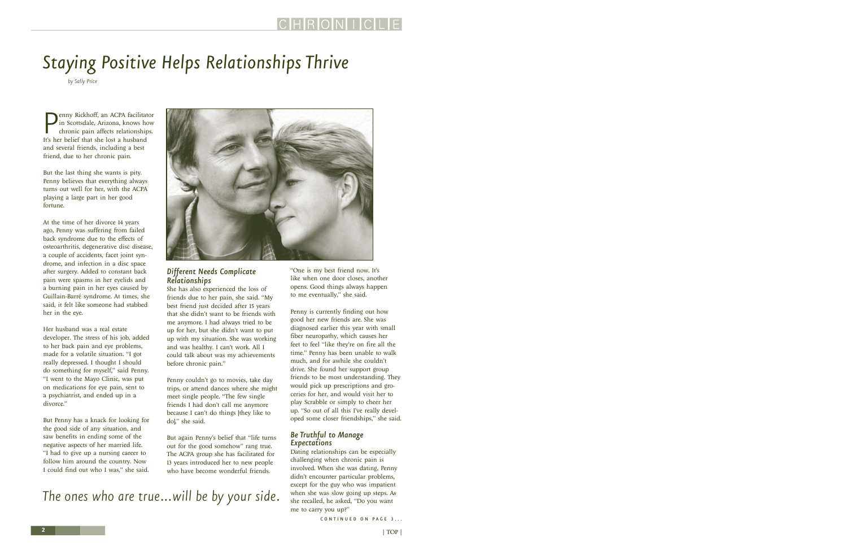# <span id="page-1-0"></span>*Staying Positive Helps Relationships Thrive*

*by Sally Price*

**P**enny Rickhoff, an ACPA facilita<br>in Scottsdale, Arizona, knows he<br>in affects relationship<br>It's her belief that she lost a husband enny Rickhoff, an ACPA facilitator in Scottsdale, Arizona, knows how chronic pain affects relationships. and several friends, including a best friend, due to her chronic pain.

But the last thing she wants is pity. Penny believes that everything always turns out well for her, with the ACPA playing a large part in her good fortune.

At the time of her divorce 14 years ago, Penny was suffering from failed back syndrome due to the effects of osteoarthritis, degenerative disc disease, a couple of accidents, facet joint syndrome, and infection in a disc space after surgery. Added to constant back pain were spasms in her eyelids and a burning pain in her eyes caused by Guillain-Barré syndrome. At times, she said, it felt like someone had stabbed her in the eye.

Her husband was a real estate developer. The stress of his job, added to her back pain and eye problems, made for a volatile situation. "I got really depressed. I thought I should do something for myself," said Penny. "I went to the Mayo Clinic, was put on medications for eye pain, sent to a psychiatrist, and ended up in a divorce."

But Penny has a knack for looking for the good side of any situation, and saw benefits in ending some of the negative aspects of her married life. "I had to give up a nursing career to follow him around the country. Now I could find out who I was," she said.



### *Different Needs Complicate Relationships*

She has also experienced the loss of friends due to her pain, she said. "My best friend just decided after 15 years that she didn't want to be friends with me anymore. I had always tried to be up for her, but she didn't want to put up with my situation. She was working and was healthy. I can't work. All I could talk about was my achievements before chronic pain."

Penny couldn't go to movies, take day trips, or attend dances where she might meet single people. "The few single friends I had don't call me anymore because I can't do things [they like to do]," she said.

But again Penny's belief that "life turns out for the good somehow" rang true. The ACPA group she has facilitated for 13 years introduced her to new people who have become wonderful friends.

*The ones who are true…will be by your side.*

"One is my best friend now. It's like when one door closes, another opens. Good things always happen to me eventually," she said.

Penny is currently finding out how good her new friends are. She was diagnosed earlier this year with small fiber neuropathy, which causes her feet to feel "like they're on fire all the time." Penny has been unable to walk much, and for awhile she couldn't drive. She found her support group friends to be most understanding. They would pick up prescriptions and groceries for her, and would visit her to play Scrabble or simply to cheer her up. "So out of all this I've really developed some closer friendships," she said.

### *Be Truthful to Manage Expectations*

Dating relationships can be especially challenging when chronic pain is involved. When she was dating, Penny didn't encounter particular problems, except for the guy who was impatient when she was slow going up steps. As she recalled, he asked, "Do you want me to carry you up?"

> | TOP | TOP | TOP | TOP | TOP | TOP | TOP | TOP | TOP | TOP | TOP | TOP | TOP | TOP | TOP | TOP | TOP | TOP | TOP | TOP | TOP | TOP | TOP | TOP | TOP | TOP | TOP | TOP | TOP | TOP | TOP | TOP | TOP | TOP | TOP | TOP | TOP CONTINUED ON PAGE 3...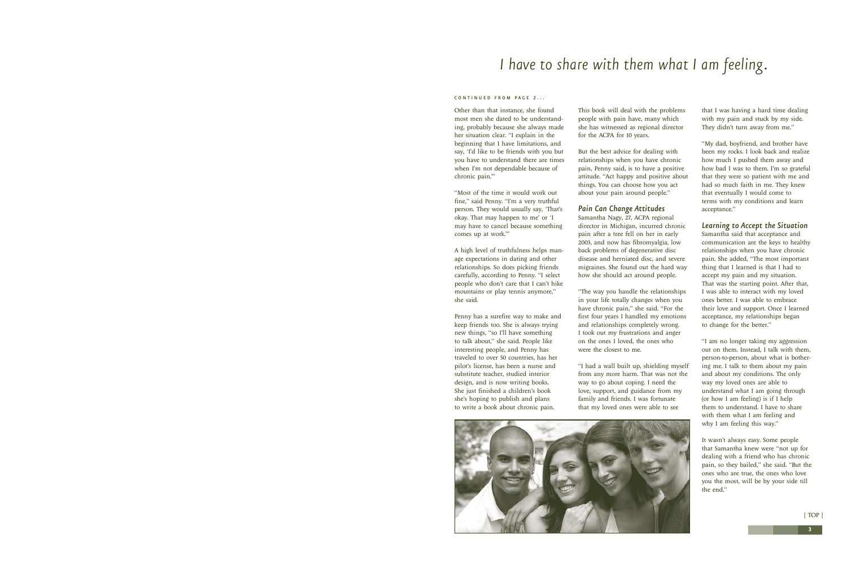### <span id="page-2-0"></span>*I have to share with them what I am feeling.*

#### CONTINUED FROM PAGE 2...

Other than that instance, she found most men she dated to be understanding, probably because she always made her situation clear. "I explain in the beginning that I have limitations, and say, 'I'd like to be friends with you but you have to understand there are times when I'm not dependable because of chronic pain.'"

"Most of the time it would work out fine," said Penny. "I'm a very truthful person. They would usually say, 'That's okay. That may happen to me' or 'I may have to cancel because something comes up at work.'"

A high level of truthfulness helps manage expectations in dating and other relationships. So does picking friends carefully, according to Penny. "I select people who don't care that I can't hike mountains or play tennis anymore," she said.

Penny has a surefire way to make and keep friends too. She is always trying new things, "so I'll have something to talk about," she said. People like interesting people, and Penny has traveled to over 50 countries, has her pilot's license, has been a nurse and substitute teacher, studied interior design, and is now writing books. She just finished a children's book she's hoping to publish and plans to write a book about chronic pain.

This book will deal with the problems people with pain have, many which she has witnessed as regional director for the ACPA for 10 years.

But the best advice for dealing with relationships when you have chronic pain, Penny said, is to have a positive attitude. "Act happy and positive about things. You can choose how you act about your pain around people."

### *Pain Can Change Attitudes*

Samantha Nagy, 27, ACPA regional director in Michigan, incurred chronic pain after a tree fell on her in early 2003, and now has fibromyalgia, low back problems of degenerative disc disease and herniated disc, and severe migraines. She found out the hard way how she should act around people.

"The way you handle the relationships in your life totally changes when you have chronic pain," she said. "For the first four years I handled my emotions and relationships completely wrong. I took out my frustrations and anger on the ones I loved, the ones who were the closest to me.

"I had a wall built up, shielding myself from any more harm. That was not the way to go about coping. I need the love, support, and guidance from my family and friends. I was fortunate that my loved ones were able to see



that I was having a hard time dealing with my pain and stuck by my side. They didn't turn away from me."

"My dad, boyfriend, and brother have been my rocks. I look back and realize how much I pushed them away and how bad I was to them. I'm so grateful that they were so patient with me and had so much faith in me. They knew that eventually I would come to terms with my conditions and learn acceptance."

#### *Learning to Accept the Situation*

Samantha said that acceptance and communication are the keys to healthy relationships when you have chronic pain. She added, "The most important thing that I learned is that I had to accept my pain and my situation. That was the starting point. After that, I was able to interact with my loved ones better. I was able to embrace their love and support. Once I learned acceptance, my relationships began to change for the better."

"I am no longer taking my aggression out on them. Instead, I talk with them, person-to-person, about what is bothering me. I talk to them about my pain and about my conditions. The only way my loved ones are able to understand what I am going through (or how I am feeling) is if I help them to understand. I have to share with them what I am feeling and why I am feeling this way."

It wasn't always easy. Some people that Samantha knew were "not up for dealing with a friend who has chronic pain, so they bailed," she said. "But the ones who are true, the ones who love you the most, will be by your side till the end."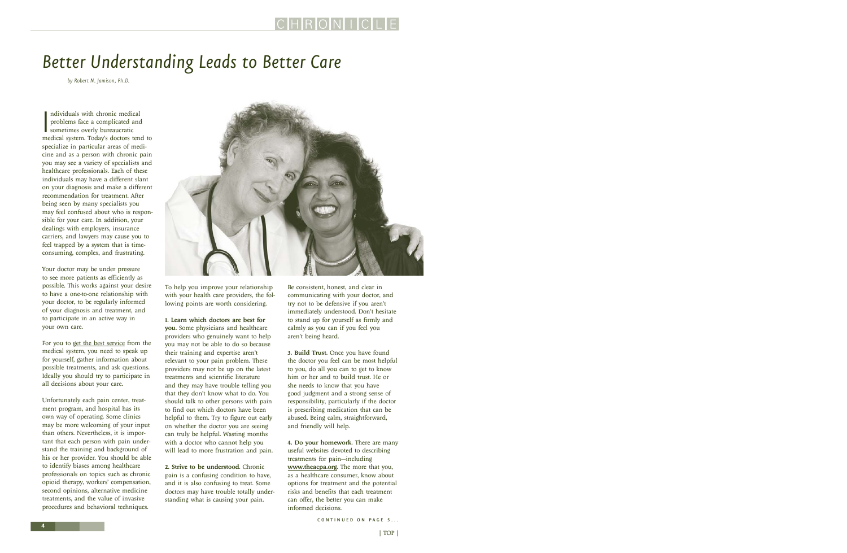# <span id="page-3-0"></span>*Better Understanding Leads to Better Care*

*by Robert N. Jamison, Ph.D.*

ndividuals with chronic medical<br>problems face a complicated and<br>sometimes overly bureaucratic<br>medical system. Today's doctors tend to ndividuals with chronic medical problems face a complicated and sometimes overly bureaucratic specialize in particular areas of medicine and as a person with chronic pain you may see a variety of specialists and healthcare professionals. Each of these individuals may have a different slant on your diagnosis and make a different recommendation for treatment. After being seen by many specialists you may feel confused about who is responsible for your care. In addition, your dealings with employers, insurance carriers, and lawyers may cause you to feel trapped by a system that is timeconsuming, complex, and frustrating.

Your doctor may be under pressure to see more patients as efficiently as possible. This works against your desire to have a one-to-one relationship with your doctor, to be regularly informed of your diagnosis and treatment, and to participate in an active way in your own care.

For you to [get the best service](http://www.theacpa.org/people/pain_program.asp) from the medical system, you need to speak up for yourself, gather information about possible treatments, and ask questions. Ideally you should try to participate in all decisions about your care.

Unfortunately each pain center, treatment program, and hospital has its own way of operating. Some clinics may be more welcoming of your input than others. Nevertheless, it is important that each person with pain understand the training and background of his or her provider. You should be able to identify biases among healthcare professionals on topics such as chronic opioid therapy, workers' compensation, second opinions, alternative medicine treatments, and the value of invasive procedures and behavioral techniques.



To help you improve your relationship with your health care providers, the following points are worth considering.

1. Learn which doctors are best for

you. Some physicians and healthcare providers who genuinely want to help you may not be able to do so because their training and expertise aren't relevant to your pain problem. These providers may not be up on the latest treatments and scientific literature and they may have trouble telling you that they don't know what to do. You should talk to other persons with pain to find out which doctors have been helpful to them. Try to figure out early on whether the doctor you are seeing can truly be helpful. Wasting months with a doctor who cannot help you will lead to more frustration and pain.

2. Strive to be understood. Chronic pain is a confusing condition to have, and it is also confusing to treat. Some doctors may have trouble totally understanding what is causing your pain.

Be consistent, honest, and clear in communicating with your doctor, and try not to be defensive if you aren't immediately understood. Don't hesitate to stand up for yourself as firmly and calmly as you can if you feel you aren't being heard.

3. Build Trust. Once you have found the doctor you feel can be most helpful to you, do all you can to get to know him or her and to build trust. He or she needs to know that you have good judgment and a strong sense of responsibility, particularly if the doctor is prescribing medication that can be abused. Being calm, straightforward, and friendly will help.

4. Do your homework. There are many useful websites devoted to describing treatments for pain—including [www.theacpa.org](http://www.theacpa.org). The more that you, as a healthcare consumer, know about options for treatment and the potential risks and benefits that each treatment can offer, the better you can make informed decisions.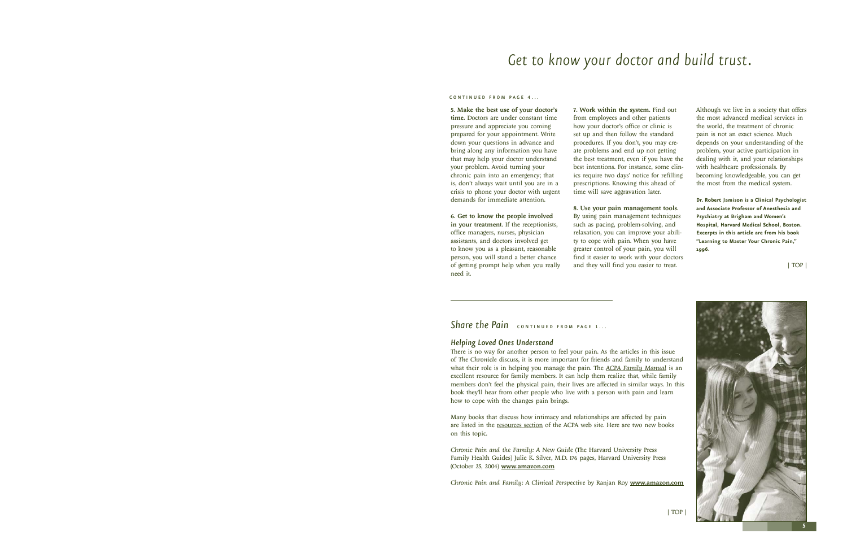### *Get to know your doctor and build trust.*

#### <span id="page-4-0"></span> $COM$  T I N II E D FROM PAGE  $\overline{A}$

5. Make the best use of your doctor's time. Doctors are under constant time pressure and appreciate you coming prepared for your appointment. Write down your questions in advance and bring along any information you have that may help your doctor understand your problem. Avoid turning your chronic pain into an emergency; that is, don't always wait until you are in a crisis to phone your doctor with urgent demands for immediate attention.

6. Get to know the people involved in your treatment. If the receptionists, office managers, nurses, physician assistants, and doctors involved get to know you as a pleasant, reasonable person, you will stand a better chance of getting prompt help when you really need it.

7. Work within the system. Find out from employees and other patients how your doctor's office or clinic is set up and then follow the standard procedures. If you don't, you may create problems and end up not getting the best treatment, even if you have the best intentions. For instance, some clinics require two days' notice for refilling prescriptions. Knowing this ahead of time will save aggravation later.

8. Use your pain management tools. By using pain management techniques such as pacing, problem-solving, and relaxation, you can improve your ability to cope with pain. When you have greater control of your pain, you will find it easier to work with your doctors and they will find you easier to treat.

Although we live in a society that offers the most advanced medical services in the world, the treatment of chronic pain is not an exact science. Much depends on your understanding of the problem, your active participation in dealing with it, and your relationships with healthcare professionals. By becoming knowledgeable, you can get the most from the medical system.

**Dr. Robert Jamison is a Clinical Psychologist and Associate Professor of Anesthesia and Psychiatry at Brigham and Women's Hospital, Harvard Medical School, Boston. Excerpts in this article are from his book "Learning to Master Your Chronic Pain," 1996.**

[| TOP |](#page-0-0)

### *Share the Pain* continued FROM PAGE 1...

#### *Helping Loved Ones Understand*

There is no way for another person to feel your pain. As the articles in this issue of *The Chronicle* discuss, it is more important for friends and family to understand what their role is in helping you manage the pain. The *[ACPA Family Manual](http://acpa.stores.yahoo.net/acfamman.html)* is an excellent resource for family members. It can help them realize that, while family members don't feel the physical pain, their lives are affected in similar ways. In this book they'll hear from other people who live with a person with pain and learn how to cope with the changes pain brings.

Many books that discuss how intimacy and relationships are affected by pain are listed in the [resources section](http://www.theacpa.org/people/helpful_reading.asp) of the ACPA web site. Here are two new books on this topic.

*Chronic Pain and the Family: A New Guide* (The Harvard University Press Family Health Guides) Julie K. Silver, M.D. 176 pages, Harvard University Press (October 25, 2004) [www.amazon.com](http://www.amazon.com)

*Chronic Pain and Family: A Clinical Perspective* by Ranjan Roy [www.amazon.com](http://www.amazon.com)



[| TOP |](#page-0-0)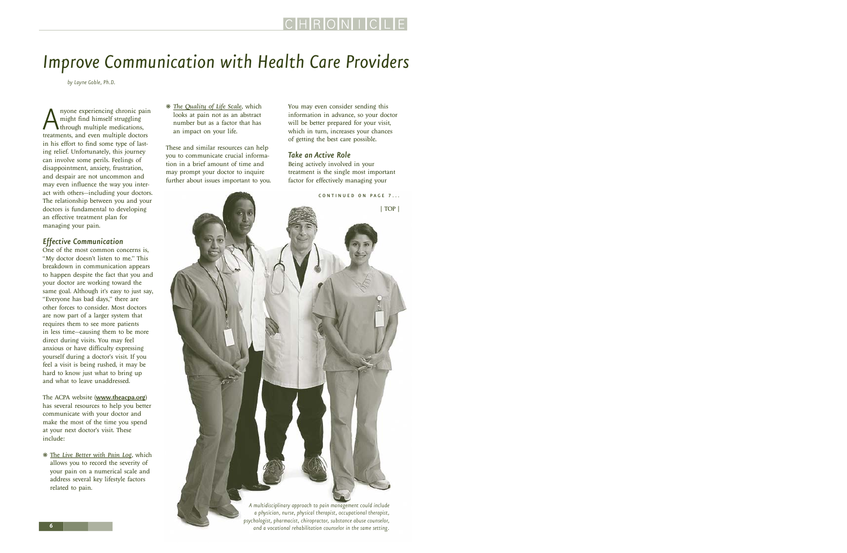### <span id="page-5-0"></span>*Improve Communication with Health Care Providers*

*by Layne Goble, Ph.D.*

A nyone experiencing chronic pain<br>
might find himself struggling<br>
treatments, and even multiple doctors might find himself struggling through multiple medications, in his effort to find some type of lasting relief. Unfortunately, this journey can involve some perils. Feelings of disappointment, anxiety, frustration, and despair are not uncommon and may even influence the way you interact with others—including your doctors. The relationship between you and your doctors is fundamental to developing an effective treatment plan for managing your pain.

### *Effective Communication*

One of the most common concerns is, "My doctor doesn't listen to me." This breakdown in communication appears to happen despite the fact that you and your doctor are working toward the same goal. Although it's easy to just say, "Everyone has bad days," there are other forces to consider. Most doctors are now part of a larger system that requires them to see more patients in less time—causing them to be more direct during visits. You may feel anxious or have difficulty expressing yourself during a doctor's visit. If you feel a visit is being rushed, it may be hard to know just what to bring up and what to leave unaddressed.

The ACPA website ([www.theacpa.org](http://www.theacpa.org)) has several resources to help you better communicate with your doctor and make the most of the time you spend at your next doctor's visit. These include:

❋ The *[Live Better with Pain Log,](http://www.theacpa.org/people/tools.asp)* which allows you to record the severity of your pain on a numerical scale and address several key lifestyle factors related to pain.

❋ *[The Quality of Life Scale](http://www.theacpa.org/people/quality_of_life.asp)*, which looks at pain not as an abstract number but as a factor that has an impact on your life.

These and similar resources can help you to communicate crucial information in a brief amount of time and may prompt your doctor to inquire further about issues important to you. You may even consider sending this information in advance, so your doctor will be better prepared for your visit, which in turn, increases your chances of getting the best care possible.

### *Take an Active Role*

Being actively involved in your treatment is the single most important factor for effectively managing your



*A multidisciplinary approach to pain management could include a physician, nurse, physical therapist, occupational therapist, psychologist, pharmacist, chiropractor, substance abuse counselor, and a vocational rehabilitation counselor in the same setting.*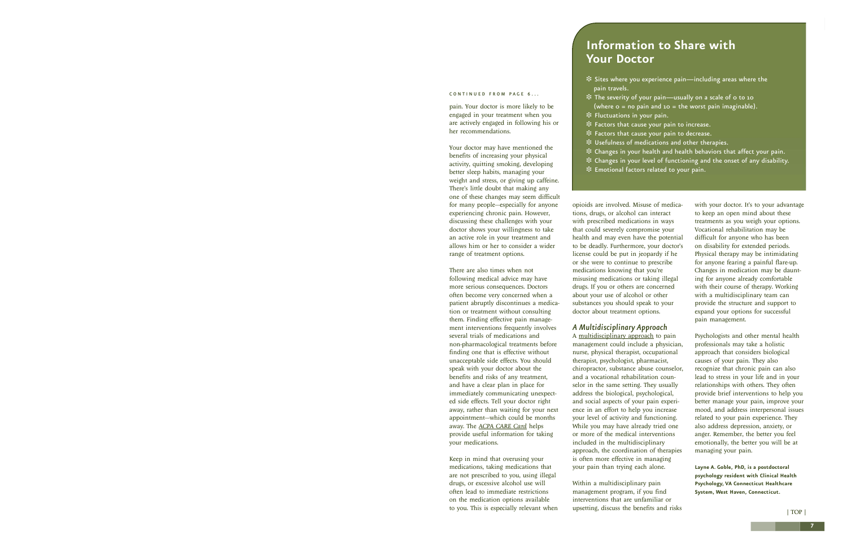#### <span id="page-6-0"></span>CONTINUED FROM PAGE 6...

pain. Your doctor is more likely to be engaged in your treatment when you are actively engaged in following his or her recommendations.

Your doctor may have mentioned the benefits of increasing your physical activity, quitting smoking, developing better sleep habits, managing your weight and stress, or giving up caffeine. There's little doubt that making any one of these changes may seem difficult for many people—especially for anyone experiencing chronic pain. However, discussing these challenges with your doctor shows your willingness to take an active role in your treatment and allows him or her to consider a wider range of treatment options.

There are also times when not following medical advice may have more serious consequences. Doctors often become very concerned when a patient abruptly discontinues a medication or treatment without consulting them. Finding effective pain management interventions frequently involves several trials of medications and non-pharmacological treatments before finding one that is effective without unacceptable side effects. You should speak with your doctor about the benefits and risks of any treatment, and have a clear plan in place for immediately communicating unexpected side effects. Tell your doctor right away, rather than waiting for your next appointment—which could be months away. The *[ACPA CARE Card](http://www.theacpa.org/people/tools.asp)* helps provide useful information for taking your medications.

Keep in mind that overusing your medications, taking medications that are not prescribed to you, using illegal drugs, or excessive alcohol use will often lead to immediate restrictions on the medication options available to you. This is especially relevant when

### **Information to Share with Your Doctor**

- ❉ Sites where you experience pain—including areas where the pain travels.
- ❉ The severity of your pain—usually on a scale of 0 to 10 (where  $o = no$  pain and  $10 = the$  worst pain imaginable).
- ❉ Fluctuations in your pain.
- ❉ Factors that cause your pain to increase.
- ❉ Factors that cause your pain to decrease.
- ❉ Usefulness of medications and other therapies.
- ❉ Changes in your health and health behaviors that affect your pain.
- ❉ Changes in your level of functioning and the onset of any disability.
- ❉ Emotional factors related to your pain.

opioids are involved. Misuse of medications, drugs, or alcohol can interact with prescribed medications in ways that could severely compromise your health and may even have the potential to be deadly. Furthermore, your doctor's license could be put in jeopardy if he or she were to continue to prescribe medications knowing that you're misusing medications or taking illegal drugs. If you or others are concerned about your use of alcohol or other substances you should speak to your doctor about treatment options.

#### *A Multidisciplinary Approach*

A [multidisciplinary approach](http://www.theacpa.org/people/pain_program.asp) to pain management could include a physician, nurse, physical therapist, occupational therapist, psychologist, pharmacist, chiropractor, substance abuse counselor, and a vocational rehabilitation counselor in the same setting. They usually address the biological, psychological, and social aspects of your pain experience in an effort to help you increase your level of activity and functioning. While you may have already tried one or more of the medical interventions included in the multidisciplinary approach, the coordination of therapies is often more effective in managing your pain than trying each alone.

Within a multidisciplinary pain management program, if you find interventions that are unfamiliar or upsetting, discuss the benefits and risks with your doctor. It's to your advantage to keep an open mind about these treatments as you weigh your options. Vocational rehabilitation may be difficult for anyone who has been on disability for extended periods. Physical therapy may be intimidating for anyone fearing a painful flare-up. Changes in medication may be daunting for anyone already comfortable with their course of therapy. Working with a multidisciplinary team can provide the structure and support to expand your options for successful pain management.

Psychologists and other mental health professionals may take a holistic approach that considers biological causes of your pain. They also recognize that chronic pain can also lead to stress in your life and in your relationships with others. They often provide brief interventions to help you better manage your pain, improve your mood, and address interpersonal issues related to your pain experience. They also address depression, anxiety, or anger. Remember, the better you feel emotionally, the better you will be at managing your pain.

**Layne A. Goble, PhD, is a postdoctoral psychology resident with Clinical Health Psychology, VA Connecticut Healthcare System, West Haven, Connecticut.**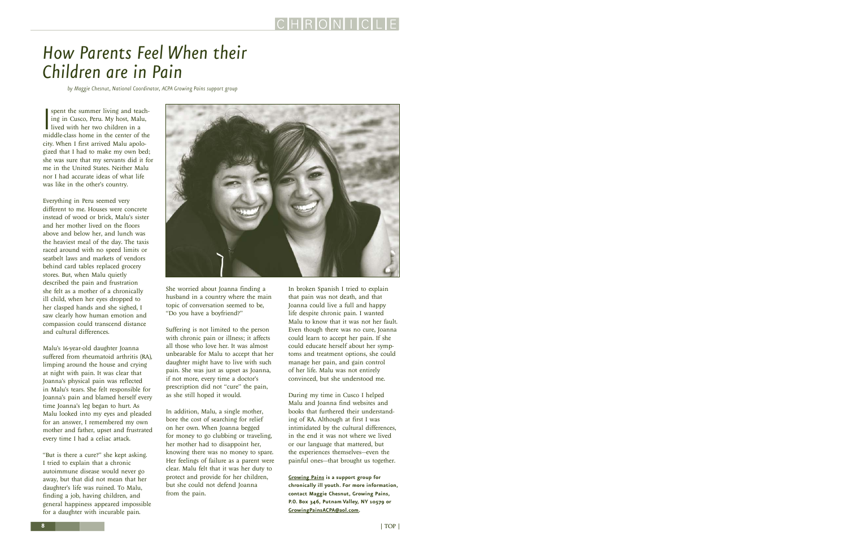### <span id="page-7-0"></span>*How Parents Feel When their Children are in Pain*

*by Maggie Chesnut, National Coordinator, ACPA Growing Pains support group*

Spent the summer living and teaching in Cusco, Peru. My host, Malu, lived with her two children in a middle-class home in the center of the spent the summer living and teaching in Cusco, Peru. My host, Malu, lived with her two children in a city. When I first arrived Malu apologized that I had to make my own bed; she was sure that my servants did it for me in the United States. Neither Malu nor I had accurate ideas of what life was like in the other's country.

Everything in Peru seemed very different to me. Houses were concrete instead of wood or brick, Malu's sister and her mother lived on the floors above and below her, and lunch was the heaviest meal of the day. The taxis raced around with no speed limits or seatbelt laws and markets of vendors behind card tables replaced grocery stores. But, when Malu quietly described the pain and frustration she felt as a mother of a chronically ill child, when her eyes dropped to her clasped hands and she sighed, I saw clearly how human emotion and compassion could transcend distance and cultural differences.

Malu's 16-year-old daughter Joanna suffered from rheumatoid arthritis (RA), limping around the house and crying at night with pain. It was clear that Joanna's physical pain was reflected in Malu's tears. She felt responsible for Joanna's pain and blamed herself every time Joanna's leg began to hurt. As Malu looked into my eyes and pleaded for an answer, I remembered my own mother and father, upset and frustrated every time I had a celiac attack.

"But is there a cure?" she kept asking. I tried to explain that a chronic autoimmune disease would never go away, but that did not mean that her daughter's life was ruined. To Malu, finding a job, having children, and general happiness appeared impossible for a daughter with incurable pain.



She worried about Joanna finding a husband in a country where the main topic of conversation seemed to be, "Do you have a boyfriend?"

Suffering is not limited to the person with chronic pain or illness; it affects all those who love her. It was almost unbearable for Malu to accept that her daughter might have to live with such pain. She was just as upset as Joanna, if not more, every time a doctor's prescription did not "cure" the pain, as she still hoped it would.

In addition, Malu, a single mother, bore the cost of searching for relief on her own. When Joanna begged for money to go clubbing or traveling, her mother had to disappoint her, knowing there was no money to spare. Her feelings of failure as a parent were clear. Malu felt that it was her duty to protect and provide for her children, but she could not defend Joanna from the pain.

In broken Spanish I tried to explain that pain was not death, and that Joanna could live a full and happy life despite chronic pain. I wanted Malu to know that it was not her fault. Even though there was no cure, Joanna could learn to accept her pain. If she could educate herself about her symptoms and treatment options, she could manage her pain, and gain control of her life. Malu was not entirely convinced, but she understood me.

During my time in Cusco I helped Malu and Joanna find websites and books that furthered their understanding of RA. Although at first I was intimidated by the cultural differences, in the end it was not where we lived or our language that mattered, but the experiences themselves—even the painful ones—that brought us together.

**[Growing Pains](http://www.theacpa.org/people/growing_pains.asp) is a support group for chronically ill youth. For more information, contact Maggie Chesnut, Growing Pains, P.O. Box 346, Putnam Valley, NY 10579 or [GrowingPainsACPA@aol.com.](mailto:GrowingPainsACPA@aol.com)**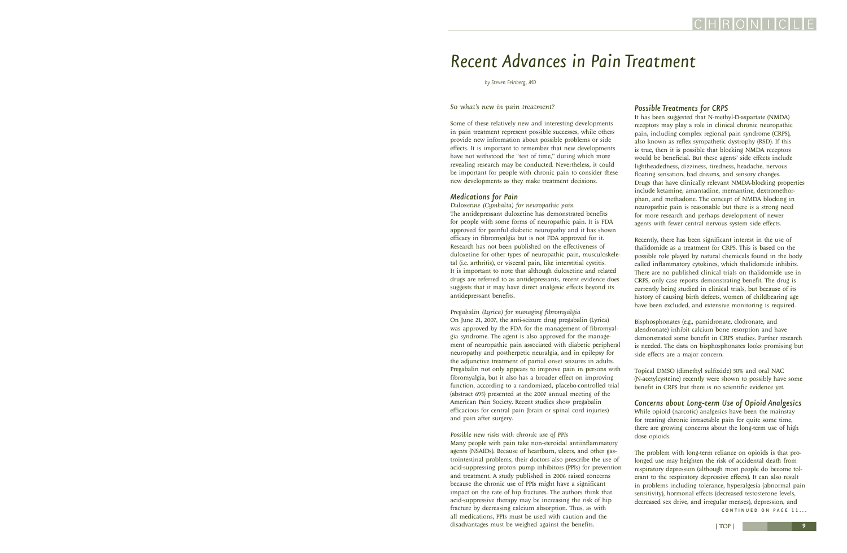### <span id="page-8-0"></span>*Recent Advances in Pain Treatment*

*by Steven Feinberg, MD*

#### *So what's new in pain treatment?*

Some of these relatively new and interesting developments in pain treatment represent possible successes, while others provide new information about possible problems or side effects. It is important to remember that new developments have not withstood the "test of time," during which more revealing research may be conducted. Nevertheless, it could be important for people with chronic pain to consider these new developments as they make treatment decisions.

### *Medications for Pain*

*Duloxetine (Cymbalta) for neuropathic pain*  The antidepressant duloxetine has demonstrated benefits for people with some forms of neuropathic pain. It is FDA approved for painful diabetic neuropathy and it has shown efficacy in fibromyalgia but is not FDA approved for it. Research has not been published on the effectiveness of duloxetine for other types of neuropathic pain, musculoskeletal (i.e. arthritis), or visceral pain, like interstitial cystitis. It is important to note that although duloxetine and related drugs are referred to as antidepressants, recent evidence does suggests that it may have direct analgesic effects beyond its antidepressant benefits.

#### *Pregabalin (Lyrica) for managing fibromyalgia*

On June 21, 2007, the anti-seizure drug pregabalin (Lyrica) was approved by the FDA for the management of fibromyalgia syndrome. The agent is also approved for the management of neuropathic pain associated with diabetic peripheral neuropathy and postherpetic neuralgia, and in epilepsy for the adjunctive treatment of partial onset seizures in adults. Pregabalin not only appears to improve pain in persons with fibromyalgia, but it also has a broader effect on improving function, according to a randomized, placebo-controlled trial (abstract 695) presented at the 2007 annual meeting of the American Pain Society. Recent studies show pregabalin efficacious for central pain (brain or spinal cord injuries) and pain after surgery.

#### *Possible new risks with chronic use of PPIs*

Many people with pain take non-steroidal antiinflammatory agents (NSAIDs). Because of heartburn, ulcers, and other gastrointestinal problems, their doctors also prescribe the use of acid-suppressing proton pump inhibitors (PPIs) for prevention and treatment. A study published in 2006 raised concerns because the chronic use of PPIs might have a significant impact on the rate of hip fractures. The authors think that acid-suppressive therapy may be increasing the risk of hip fracture by decreasing calcium absorption. Thus, as with all medications, PPIs must be used with caution and the disadvantages must be weighed against the benefits.

#### *Possible Treatments for CRPS*

It has been suggested that N-methyl-D-aspartate (NMDA) receptors may play a role in clinical chronic neuropathic pain, including complex regional pain syndrome (CRPS), also known as reflex sympathetic dystrophy (RSD). If this is true, then it is possible that blocking NMDA receptors would be beneficial. But these agents' side effects include lightheadedness, dizziness, tiredness, headache, nervous floating sensation, bad dreams, and sensory changes. Drugs that have clinically relevant NMDA-blocking properties include ketamine, amantadine, memantine, dextromethorphan, and methadone. The concept of NMDA blocking in neuropathic pain is reasonable but there is a strong need for more research and perhaps development of newer agents with fewer central nervous system side effects.

Recently, there has been significant interest in the use of thalidomide as a treatment for CRPS. This is based on the possible role played by natural chemicals found in the body called inflammatory cytokines, which thalidomide inhibits. There are no published clinical trials on thalidomide use in CRPS, only case reports demonstrating benefit. The drug is currently being studied in clinical trials, but because of its history of causing birth defects, women of childbearing age have been excluded, and extensive monitoring is required.

Bisphosphonates (e.g., pamidronate, clodronate, and alendronate) inhibit calcium bone resorption and have demonstrated some benefit in CRPS studies. Further research is needed. The data on bisphosphonates looks promising but side effects are a major concern.

Topical DMSO (dimethyl sulfoxide) 50% and oral NAC (N-acetylcysteine) recently were shown to possibly have some benefit in CRPS but there is no scientific evidence yet.

*Concerns about Long-term Use of Opioid Analgesics*  While opioid (narcotic) analgesics have been the mainstay for treating chronic intractable pain for quite some time, there are growing concerns about the long-term use of high dose opioids.

The problem with long-term reliance on opioids is that prolonged use may heighten the risk of accidental death from respiratory depression (although most people do become tolerant to the respiratory depressive effects). It can also result in problems including tolerance, hyperalgesia (abnormal pain sensitivity), hormonal effects (decreased testosterone levels, decreased sex drive, and irregular menses), depression, and

CONTINUED ON PAGE 11...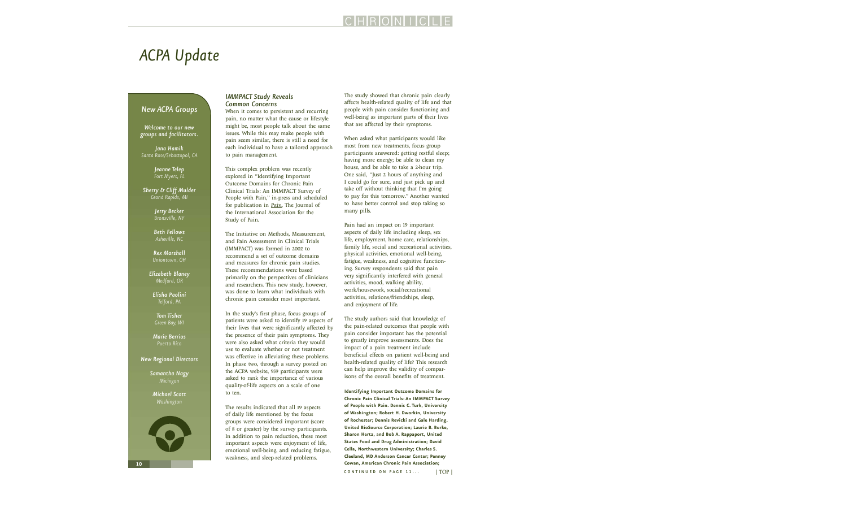### <span id="page-9-0"></span>*ACPA Update*

### *New ACPA Groups*

*Welcome to our new groups and facilitators.*

*Jana Hamik Santa Rose/Sebastopol, CA*

> *Jeanne Telep Fort Myers, FL*

*Sherry & Cliff Mulder Grand Rapids, MI*

> *Jerry Becker Bronxville, NY*

*Beth Fellows Asheville, NC*

*Rex Marshall Uniontown, OH* 

*Elizabeth Blaney Medford, OR* 

*Elisha Paolini Telford, PA*

*Tom Tisher Green Bay, WI* 

*Marie Berrios Puerto Rico*

#### *New Regional Directors*

*Samantha Nagy Michigan*

*Michael Scott Washington*



### *IMMPACT Study Reveals Common Concerns*

When it comes to persistent and recurring pain, no matter what the cause or lifestyle might be, most people talk about the same issues. While this may make people with pain seem similar, there is still a need for each individual to have a tailored approach to pain management.

This complex problem was recently explored in "Identifying Important Outcome Domains for Chronic Pain Clinical Trials: An IMMPACT Survey of People with Pain," in-press and scheduled for publication in *[Pain](http://www.iasp-pain.org)*, The Journal of the International Association for the Study of Pain.

The Initiative on Methods, Measurement, and Pain Assessment in Clinical Trials (IMMPACT) was formed in 2002 to recommend a set of outcome domains and measures for chronic pain studies. These recommendations were based primarily on the perspectives of clinicians and researchers. This new study, however, was done to learn what individuals with chronic pain consider most important.

In the study's first phase, focus groups of patients were asked to identify 19 aspects of their lives that were significantly affected by the presence of their pain symptoms. They were also asked what criteria they would use to evaluate whether or not treatment was effective in alleviating these problems. In phase two, through a survey posted on the ACPA website, 959 participants were asked to rank the importance of various quality-of-life aspects on a scale of one to ten.

The results indicated that all 19 aspects of daily life mentioned by the focus groups were considered important (score of 8 or greater) by the survey participants. In addition to pain reduction, these most important aspects were enjoyment of life, emotional well-being, and reducing fatigue, weakness, and sleep-related problems.

The study showed that chronic pain clearly affects health-related quality of life and that people with pain consider functioning and well-being as important parts of their lives that are affected by their symptoms.

When asked what participants would like most from new treatments, focus group participants answered: getting restful sleep; having more energy; be able to clean my house, and be able to take a 2-hour trip. One said, "Just 2 hours of anything and I could go for sure, and just pick up and take off without thinking that I'm going to pay for this tomorrow." Another wanted to have better control and stop taking so many pills.

Pain had an impact on 19 important aspects of daily life including sleep, sex life, employment, home care, relationships, family life, social and recreational activities, physical activities, emotional well-being, fatigue, weakness, and cognitive functioning. Survey respondents said that pain very significantly interfered with general activities, mood, walking ability, work/housework, social/recreational activities, relations/friendships, sleep, and enjoyment of life.

The study authors said that knowledge of the pain-related outcomes that people with pain consider important has the potential to greatly improve assessments. Does the impact of a pain treatment include beneficial effects on patient well-being and health-related quality of life? This research can help improve the validity of comparisons of the overall benefits of treatment.

**Identifying Important Outcome Domains for Chronic Pain Clinical Trials: An IMMPACT Survey of People with Pain. Dennis C. Turk, University of Washington; Robert H. Dworkin, University of Rochester; Dennis Revicki and Gale Harding, United BioSource Corporation; Laurie B. Burke, Sharon Hertz, and Bob A. Rappaport, United States Food and Drug Administration; David Cella, Northwestern University; Charles S. Cleeland, MD Anderson Cancer Center; Penney Cowan, American Chronic Pain Association;**   $CONTINUED ON PAGE 11...$  [| TOP |](#page-0-0)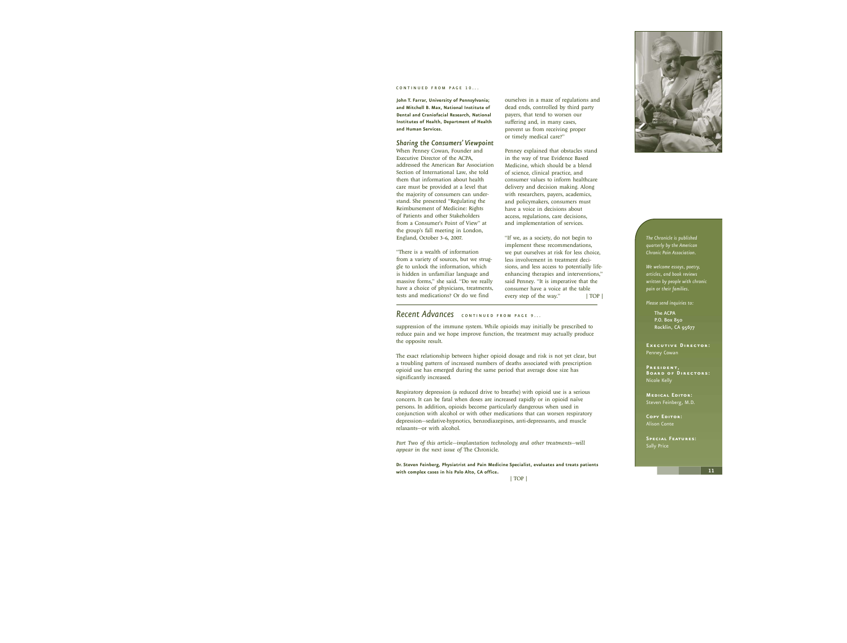#### <span id="page-10-0"></span>CONTINUED FROM PAGE 10...

**John T. Farrar, University of Pennsylvania; and Mitchell B. Max, National Institute of Dental and Craniofacial Research, National Institutes of Health, Department of Health and Human Services.**

#### *Sharing the Consumers' Viewpoint*

When Penney Cowan, Founder and Executive Director of the ACPA, addressed the American Bar Association Section of International Law, she told them that information about health care must be provided at a level that the majority of consumers can understand. She presented "Regulating the Reimbursement of Medicine: Rights of Patients and other Stakeholders from a Consumer's Point of View" at the group's fall meeting in London, England, October 3–6, 2007.

"There is a wealth of information from a variety of sources, but we struggle to unlock the information, which is hidden in unfamiliar language and massive forms," she said. "Do we really have a choice of physicians, treatments, tests and medications? Or do we find

ourselves in a maze of regulations and dead ends, controlled by third party payers, that tend to worsen our suffering and, in many cases, prevent us from receiving proper or timely medical care?"

Penney explained that obstacles stand in the way of true Evidence Based Medicine, which should be a blend of science, clinical practice, and consumer values to inform healthcare delivery and decision making. Along with researchers, payers, academics, and policymakers, consumers must have a voice in decisions about access, regulations, care decisions, and implementation of services.

"If we, as a society, do not begin to implement these recommendations, we put ourselves at risk for less choice, less involvement in treatment decisions, and less access to potentially lifeenhancing therapies and interventions," said Penney. "It is imperative that the consumer have a voice at the table every step of the way." [| TOP |](#page-0-0)

### **Recent Advances** continued FROM PAGE 9...

suppression of the immune system. While opioids may initially be prescribed to reduce pain and we hope improve function, the treatment may actually produce the opposite result.

The exact relationship between higher opioid dosage and risk is not yet clear, but a troubling pattern of increased numbers of deaths associated with prescription opioid use has emerged during the same period that average dose size has significantly increased.

Respiratory depression (a reduced drive to breathe) with opioid use is a serious concern. It can be fatal when doses are increased rapidly or in opioid naïve persons. In addition, opioids become particularly dangerous when used in conjunction with alcohol or with other medications that can worsen respiratory depression—sedative-hypnotics, benzodiazepines, anti-depressants, and muscle relaxants—or with alcohol.

*Part Two of this article—implantation technology and other treatments—will appear in the next issue of* The Chronicle.

**Dr. Steven Feinberg, Physiatrist and Pain Medicine Specialist, evaluates and treats patients with complex cases in his Palo Alto, CA office**.



*The Chronicle is published quarterly by the American Chronic Pain Association.*

*We welcome essays, poetry, articles, and book reviews written by people with chronic pain or their families.*

*Please send inquiries to:*

The ACPA P.O. Box 850 Rocklin, CA 95677

**Executive Director:** Penney Cowan

**President, Board of Directors:** Nicole Kelly

**Medical Editor:** Steven Feinberg, M.D.

**Copy Editor:** Alison Conte

**Special Features:** Sally Price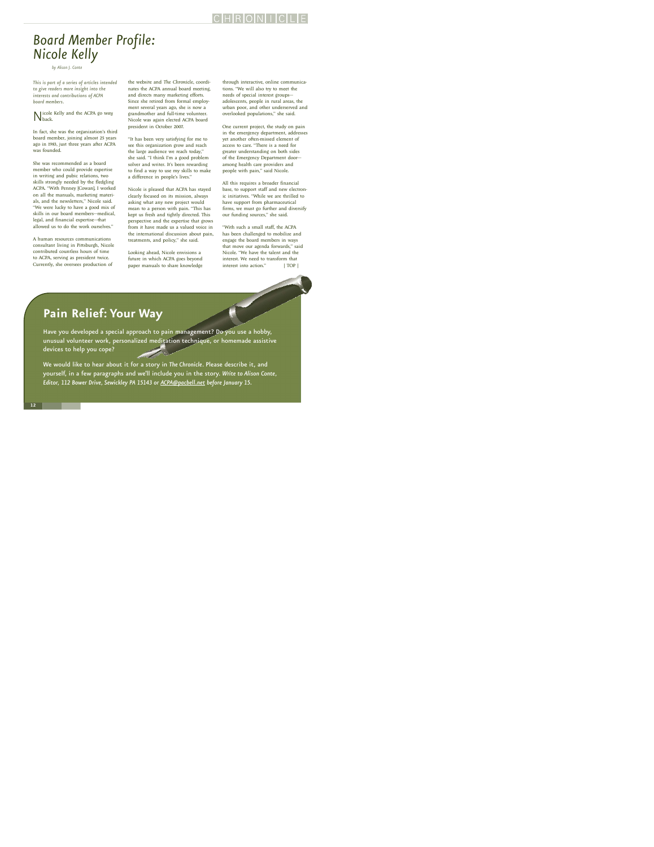# <span id="page-11-0"></span>*Board Member Profile: Nicole Kelly*

*by Alison J. Conte*

*This is part of a series of articles intended to give readers more insight into the interests and contributions of ACPA board members.*

Nicole Kelly and the ACPA go *way* back.

In fact, she was the organization's third board member, joining almost 25 years ago in 1983, just three years after ACPA was founded.

She was recommended as a board member who could provide expertise in writing and pubic relations, two skills strongly needed by the fledgling ACPA. "With Penney [Cowan], I worked on all the manuals, marketing materials, and the newsletters," Nicole said. "We were lucky to have a good mix of skills in our board members—medical, legal, and financial expertise—that allowed us to do the work ourselves."

A human resources communications consultant living in Pittsburgh, Nicole contributed countless hours of time to ACPA, serving as president twice. Currently, she oversees production of

the website and *The Chronicle*, coordinates the ACPA annual board meeting, and directs many marketing efforts. Since she retired from formal employment several years ago, she is now a grandmother and full-time volunteer. Nicole was again elected ACPA board president in October 2007.

"It has been very satisfying for me to see this organization grow and reach the large audience we reach today," she said. "I think I'm a good problem solver and writer. It's been rewarding to find a way to use my skills to make a difference in people's lives."

Nicole is pleased that ACPA has stayed clearly focused on its mission, always asking what any new project would mean to a person with pain. "This has kept us fresh and tightly directed. This perspective and the expertise that grows from it have made us a valued voice in the international discussion about pain, treatments, and policy," she said.

Looking ahead, Nicole envisions a future in which ACPA goes beyond paper manuals to share knowledge through interactive, online communications. "We will also try to meet the needs of special interest groups adolescents, people in rural areas, the urban poor, and other underserved and overlooked populations," she said.

One current project, the study on pain in the emergency department, addresses yet another often-missed element of access to care. "There is a need for greater understanding on both sides of the Emergency Department door among health care providers and people with pain," said Nicole.

All this requires a broader financial base, to support staff and new electronic initiatives. "While we are thrilled to have support from pharmaceutical firms, we must go further and diversify our funding sources," she said.

"With such a small staff, the ACPA has been challenged to mobilize and engage the board members in ways that move our agenda forwards," said Nicole. "We have the talent and the interest. We need to transform that interest into action." [| TOP |](#page-0-0)

### **Pain Relief: Your Way**

Have you developed a special approach to pain management? Do you use a hobby, unusual volunteer work, personalized meditation technique, or homemade assistive devices to help you cope?

We would like to hear about it for a story in *The Chronicle*. Please describe it, and yourself, in a few paragraphs and we'll include you in the story. *Write to Alison Conte, Editor, 112 Bower Drive, Sewickley PA 15143 or [ACPA@pacbell.net](mailto:ACPA@pacbell.net) before January 15.*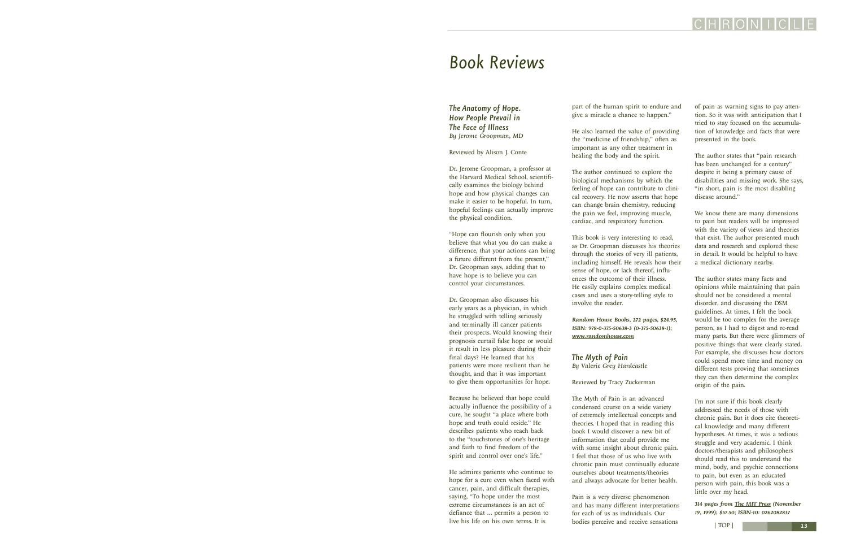### <span id="page-12-0"></span>*Book Reviews*

*The Anatomy of Hope. How People Prevail in The Face of Illness By Jerome Groopman, MD*

Reviewed by Alison J. Conte

Dr. Jerome Groopman, a professor at the Harvard Medical School, scientifically examines the biology behind hope and how physical changes can make it easier to be hopeful. In turn, hopeful feelings can actually improve the physical condition.

"Hope can flourish only when you believe that what you do can make a difference, that your actions can bring a future different from the present," Dr. Groopman says, adding that to have hope is to believe you can control your circumstances.

Dr. Groopman also discusses his early years as a physician, in which he struggled with telling seriously and terminally ill cancer patients their prospects. Would knowing their prognosis curtail false hope or would it result in less pleasure during their final days? He learned that his patients were more resilient than he thought, and that it was important to give them opportunities for hope.

Because he believed that hope could actually influence the possibility of a cure, he sought "a place where both hope and truth could reside." He describes patients who reach back to the "touchstones of one's heritage and faith to find freedom of the spirit and control over one's life."

He admires patients who continue to hope for a cure even when faced with cancer, pain, and difficult therapies, saying, "To hope under the most extreme circumstances is an act of defiance that … permits a person to live his life on his own terms. It is

part of the human spirit to endure and give a miracle a chance to happen."

He also learned the value of providing the "medicine of friendship," often as important as any other treatment in healing the body and the spirit.

The author continued to explore the biological mechanisms by which the feeling of hope can contribute to clinical recovery. He now asserts that hope can change brain chemistry, reducing the pain we feel, improving muscle, cardiac, and respiratory function.

This book is very interesting to read, as Dr. Groopman discusses his theories through the stories of very ill patients, including himself. He reveals how their sense of hope, or lack thereof, influences the outcome of their illness. He easily explains complex medical cases and uses a story-telling style to involve the reader.

*Random House Books, 272 pages, \$24.95, ISBN: 978-0-375-50638-3 (0-375-50638-1); [www.randomhouse.com](http://www.randomhouse.com)*

### *The Myth of Pain By Valerie Grey Hardcastle*

Reviewed by Tracy Zuckerman

The Myth of Pain is an advanced condensed course on a wide variety of extremely intellectual concepts and theories. I hoped that in reading this book I would discover a new bit of information that could provide me with some insight about chronic pain. I feel that those of us who live with chronic pain must continually educate ourselves about treatments/theories and always advocate for better health.

Pain is a very diverse phenomenon and has many different interpretations for each of us as individuals. Our bodies perceive and receive sensations

of pain as warning signs to pay attention. So it was with anticipation that I tried to stay focused on the accumulation of knowledge and facts that were presented in the book.

The author states that "pain research has been unchanged for a century" despite it being a primary cause of disabilities and missing work. She says, "in short, pain is the most disabling disease around."

We know there are many dimensions to pain but readers will be impressed with the variety of views and theories that exist. The author presented much data and research and explored these in detail. It would be helpful to have a medical dictionary nearby.

The author states many facts and opinions while maintaining that pain should not be considered a mental disorder, and discussing the DSM guidelines. At times, I felt the book would be too complex for the average person, as I had to digest and re-read many parts. But there were glimmers of positive things that were clearly stated. For example, she discusses how doctors could spend more time and money on different tests proving that sometimes they can then determine the complex origin of the pain.

I'm not sure if this book clearly addressed the needs of those with chronic pain. But it does cite theoretical knowledge and many different hypotheses. At times, it was a tedious struggle and very academic. I think doctors/therapists and philosophers should read this to understand the mind, body, and psychic connections to pain, but even as an educated person with pain, this book was a little over my head.

*314 pages from [The MIT Press](http://mitpress.mit.edu/catalog/item/default.asp?ttype=2&tid=8562) (November 19, 1999); \$57.50; ISBN-10: 0262082837*